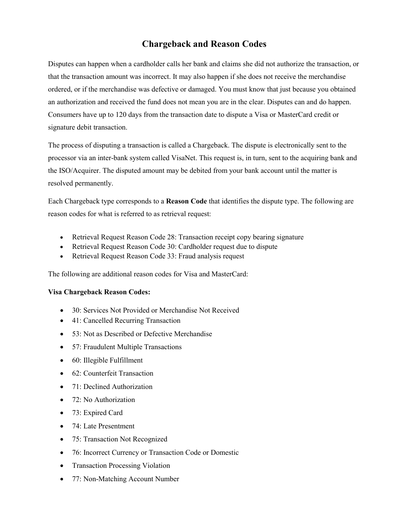## **Chargeback and Reason Codes**

Disputes can happen when a cardholder calls her bank and claims she did not authorize the transaction, or that the transaction amount was incorrect. It may also happen if she does not receive the merchandise ordered, or if the merchandise was defective or damaged. You must know that just because you obtained an authorization and received the fund does not mean you are in the clear. Disputes can and do happen. Consumers have up to 120 days from the transaction date to dispute a Visa or MasterCard credit or signature debit transaction.

The process of disputing a transaction is called a Chargeback. The dispute is electronically sent to the processor via an inter-bank system called VisaNet. This request is, in turn, sent to the acquiring bank and the ISO/Acquirer. The disputed amount may be debited from your bank account until the matter is resolved permanently.

Each Chargeback type corresponds to a **Reason Code** that identifies the dispute type. The following are reason codes for what is referred to as retrieval request:

- Retrieval Request Reason Code 28: Transaction receipt copy bearing signature
- Retrieval Request Reason Code 30: Cardholder request due to dispute
- Retrieval Request Reason Code 33: Fraud analysis request

The following are additional reason codes for Visa and MasterCard:

## **Visa Chargeback Reason Codes:**

- 30: Services Not Provided or Merchandise Not Received
- 41: Cancelled Recurring Transaction
- 53: Not as Described or Defective Merchandise
- 57: Fraudulent Multiple Transactions
- 60: Illegible Fulfillment
- 62: Counterfeit Transaction
- 71: Declined Authorization
- 72: No Authorization
- 73: Expired Card
- 74: Late Presentment
- 75: Transaction Not Recognized
- 76: Incorrect Currency or Transaction Code or Domestic
- Transaction Processing Violation
- 77: Non-Matching Account Number